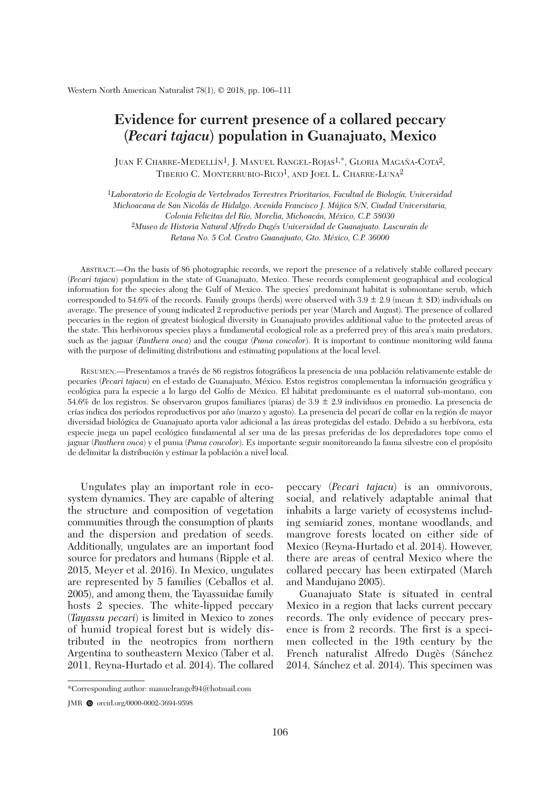## **Evidence for current presence of a collared peccary (***Pecari tajacu***) population in Guanajuato, Mexico**

JUAN F. CHARRE-MEDELLÍN1, J. MANUEL RANGEL-ROJAS1,\*, GLORIA MAGAÑA-COTA2, TIBERIO C. MONTERRUBIO-RICO<sup>1</sup>, AND JOEL L. CHARRE-LUNA<sup>2</sup>

1*Laboratorio de Ecología de Vertebrados Terrestres Prioritarios, Facultad de Biología, Universidad Michoacana de San Nicolás de Hidalgo. Avenida Francisco J. Mújica S/N, Ciudad Universitaria, Colonia Felicitas del Río, Morelia, Michoacán, México, C.P. 58030* 2*Museo de Historia Natural Alfredo Dugés Universidad de Guanajuato. Lascuraín de Retana No. 5 Col. Centro Guanajuato, Gto. México, C.P. 36000*

 ABSTRACT.—On the basis of 86 photographic records, we report the presence of a relatively stable collared peccary (*Pecari tajacu*) population in the state of Guanajuato, Mexico. These records complement geographical and ecological information for the species along the Gulf of Mexico. The species' predominant habitat is submontane scrub, which corresponded to 54.6% of the records. Family groups (herds) were observed with  $3.9 \pm 2.9$  (mean  $\pm$  SD) individuals on average. The presence of young indicated 2 reproductive periods per year (March and August). The presence of collared peccaries in the region of greatest biological diversity in Guanajuato provides additional value to the protected areas of the state. This herbivorous species plays a fundamental ecological role as a preferred prey of this area's main predators, such as the jaguar (*Panthera onca*) and the cougar (*Puma concolor*). It is important to continue monitoring wild fauna with the purpose of delimiting distributions and estimating populations at the local level.

 RESUMEN.—Presentamos a través de 86 registros fotográficos la presencia de una población relativamente estable de pecaríes (*Pecari tajacu*) en el estado de Guanajuato, México. Estos registros complementan la información geográfica y ecológica para la especie a lo largo del Golfo de México. El hábitat predominante es el matorral sub-montano, con 54.6% de los registros. Se observaron grupos familiares (piaras) de 3.9 **+ –** 2.9 individuos en promedio. La presencia de crías indica dos períodos reproductivos por año (marzo y agosto). La presencia del pecarí de collar en la región de mayor diversidad biológica de Guanajuato aporta valor adicional a las áreas protegidas del estado. Debido a su herbívora, esta especie juega un papel ecológico fundamental al ser una de las presas preferidas de los depredadores tope como el jaguar (*Panthera onca*) y el puma (*Puma concolor*). Es importante seguir monitoreando la fauna silvestre con el propósito de delimitar la distribución y estimar la población a nivel local.

Ungulates play an important role in ecosystem dynamics. They are capable of altering the structure and composition of vegetation communities through the consumption of plants and the dispersion and predation of seeds. Additionally, ungulates are an important food source for predators and humans (Ripple et al. 2015, Meyer et al. 2016). In Mexico, ungulates are represented by 5 families (Ceballos et al. 2005), and among them, the Tayassuidae family hosts 2 species. The white-lipped peccary (*Tayassu pecari*) is limited in Mexico to zones of humid tropical forest but is widely distributed in the neotropics from northern Argentina to southeastern Mexico (Taber et al. 2011, Reyna-Hurtado et al. 2014). The collared peccary (*Pecari tajacu*) is an omnivorous, social, and relatively adaptable animal that inhabits a large variety of ecosystems including semiarid zones, montane woodlands, and mangrove forests located on either side of Mexico (Reyna-Hurtado et al. 2014). However, there are areas of central Mexico where the collared peccary has been extirpated (March and Mandujano 2005).

 Guanajuato State is situated in central Mexico in a region that lacks current peccary records. The only evidence of peccary presence is from 2 records. The first is a specimen collected in the 19th century by the French naturalist Alfredo Dugès (Sánchez 2014, Sánchez et al. 2014). This specimen was

<sup>\*</sup>Corresponding author: manuelrangel94@hotmail.com

JMR  $\bullet$  orcid.org/0000-0002-3694-9598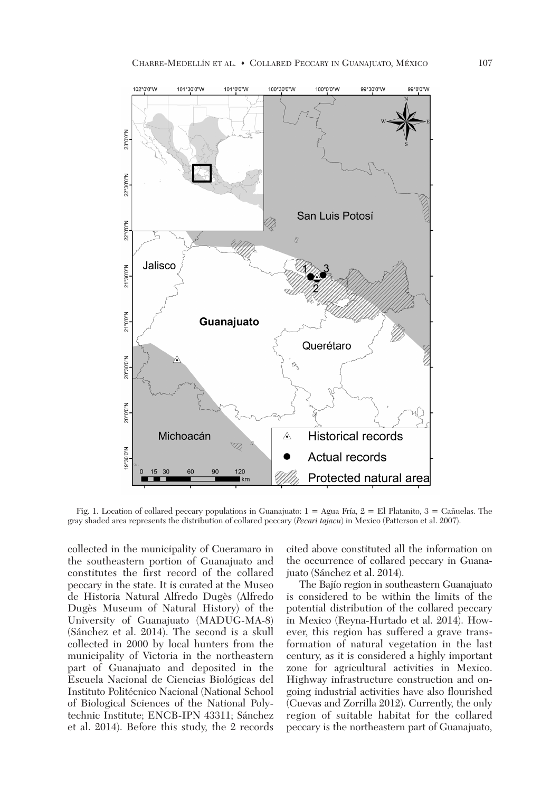

 Fig. 1. Location of collared peccary populations in Guanajuato: 1 = Agua Fría, 2 = El Platanito, 3 = Cañuelas. The gray shaded area represents the distribution of collared peccary (*Pecari tajacu*) in Mexico (Patterson et al. 2007).

collected in the municipality of Cueramaro in the southeastern portion of Guanajuato and constitutes the first record of the collared peccary in the state. It is curated at the Museo de Historia Natural Alfredo Dugès (Alfredo Dugès Museum of Natural History) of the University of Guanajuato (MADUG-MA-8) (Sánchez et al. 2014). The second is a skull collected in 2000 by local hunters from the municipality of Victoria in the northeastern part of Guanajuato and deposited in the Escuela Nacional de Ciencias Biológicas del Instituto Politécnico Nacional (National School of Biological Sciences of the National Polytechnic Institute; ENCB-IPN 43311; Sánchez et al. 2014). Before this study, the 2 records cited above constituted all the information on the occurrence of collared peccary in Guanajuato (Sánchez et al. 2014).

 The Bajío region in southeastern Guanajuato is considered to be within the limits of the potential distribution of the collared peccary in Mexico (Reyna-Hurtado et al. 2014). However, this region has suffered a grave transformation of natural vegetation in the last century, as it is considered a highly important zone for agricultural activities in Mexico. Highway infrastructure construction and on going industrial activities have also flourished (Cuevas and Zorrilla 2012). Currently, the only region of suitable habitat for the collared peccary is the northeastern part of Guanajuato,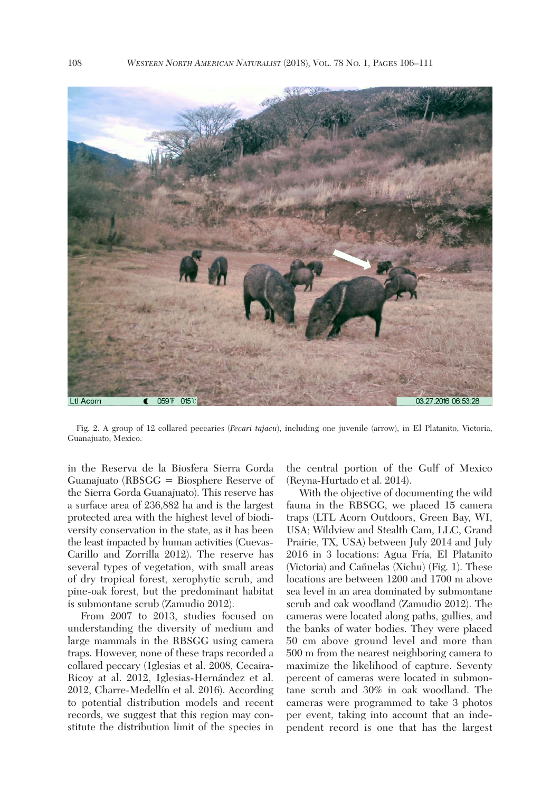

 Fig. 2. A group of 12 collared peccaries (*Pecari tajacu*), including one juvenile (arrow), in El Platanito, Victoria, Guanajuato, Mexico.

in the Reserva de la Biosfera Sierra Gorda Guanajuato (RBSGG = Biosphere Reserve of the Sierra Gorda Guanajuato). This reserve has a surface area of 236,882 ha and is the largest protected area with the highest level of biodiversity conservation in the state, as it has been the least impacted by human activities (Cuevas-Carillo and Zorrilla 2012). The reserve has several types of vegetation, with small areas of dry tropical forest, xerophytic scrub, and pine-oak forest, but the predominant habitat is submontane scrub (Zamudio 2012).

 From 2007 to 2013, studies focused on understanding the diversity of medium and large mammals in the RBSGG using camera traps. However, none of these traps recorded a collared peccary (Iglesias et al. 2008, Cecaira-Ricoy at al. 2012, Iglesias-Hernández et al. 2012, Charre-Medellín et al. 2016). According to potential distribution models and recent records, we suggest that this region may constitute the distribution limit of the species in the central portion of the Gulf of Mexico (Reyna-Hurtado et al. 2014).

 With the objective of documenting the wild fauna in the RBSGG, we placed 15 camera traps (LTL Acorn Outdoors, Green Bay, WI, USA; Wildview and Stealth Cam, LLC, Grand Prairie, TX, USA) between July 2014 and July 2016 in 3 locations: Agua Fría, El Platanito (Victoria) and Cañuelas (Xichu) (Fig. 1). These locations are between 1200 and 1700 m above sea level in an area dominated by submontane scrub and oak woodland (Zamudio 2012). The cameras were located along paths, gullies, and the banks of water bodies. They were placed 50 cm above ground level and more than 500 m from the nearest neighboring camera to maximize the likelihood of capture. Seventy percent of cameras were located in submontane scrub and 30% in oak woodland. The cameras were programmed to take 3 photos per event, taking into account that an independent record is one that has the largest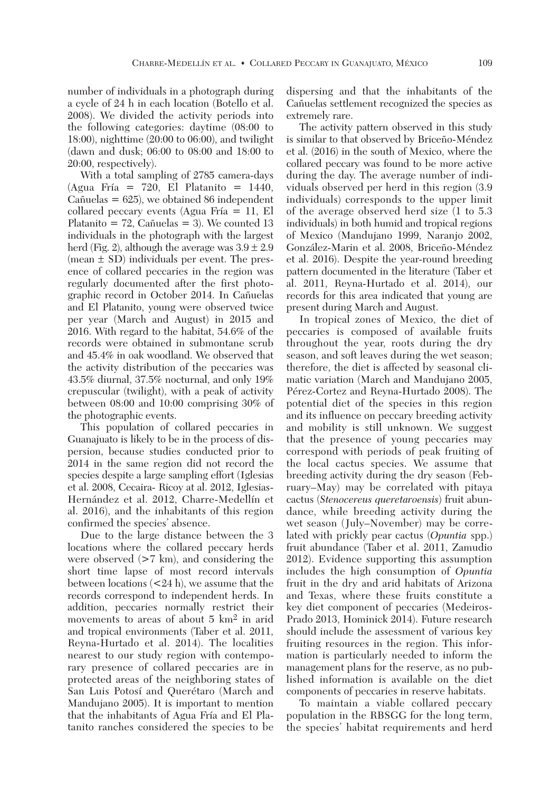number of individuals in a photograph during a cycle of 24 h in each location (Botello et al. 2008). We divided the activity periods into the following categories: daytime (08:00 to 18:00), nighttime (20:00 to 06:00), and twilight (dawn and dusk; 06:00 to 08:00 and 18:00 to 20:00, respectively).

 With a total sampling of 2785 camera-days (Agua Fría = 720, El Platanito = 1440, Cañuelas  $= 625$ , we obtained 86 independent collared peccary events (Agua Fría = 11, El Platanito  $= 72$ , Cañuelas  $= 3$ ). We counted 13 individuals in the photograph with the largest herd (Fig. 2), although the average was  $3.9 \pm 2.9$ (mean  $\pm$  SD) individuals per event. The presence of collared peccaries in the region was regularly documented after the first photographic record in October 2014. In Cañuelas and El Platanito, young were observed twice per year (March and August) in 2015 and 2016. With regard to the habitat, 54.6% of the records were obtained in submontane scrub and 45.4% in oak woodland. We observed that the activity distribution of the peccaries was 43.5% diurnal, 37.5% nocturnal, and only 19% crepuscular (twilight), with a peak of activity between 08:00 and 10:00 comprising 30% of the photographic events.

 This population of collared peccaries in Guanajuato is likely to be in the process of dispersion, because studies conducted prior to 2014 in the same region did not record the species despite a large sampling effort (Iglesias et al. 2008, Cecaira- Ricoy at al. 2012, Iglesias-Hernández et al. 2012, Charre-Medellín et al. 2016), and the inhabitants of this region confirmed the species' absence.

 Due to the large distance between the 3 locations where the collared peccary herds were observed (>7 km), and considering the short time lapse of most record intervals between locations  $\langle 24 \text{ h} \rangle$ , we assume that the records correspond to independent herds. In addition, peccaries normally restrict their movements to areas of about 5 km2 in arid and tropical environments (Taber et al. 2011, Reyna-Hurtado et al. 2014). The localities nearest to our study region with contemporary presence of collared peccaries are in protected areas of the neighboring states of San Luis Potosí and Querétaro (March and Mandujano 2005). It is important to mention that the inhabitants of Agua Fría and El Platanito ranches considered the species to be dispersing and that the inhabitants of the Cañuelas settlement recognized the species as extremely rare.

 The activity pattern observed in this study is similar to that observed by Briceño-Méndez et al. (2016) in the south of Mexico, where the collared peccary was found to be more active during the day. The average number of individuals observed per herd in this region (3.9 individuals) corresponds to the upper limit of the average observed herd size (1 to 5.3 individuals) in both humid and tropical regions of Mexico (Mandujano 1999, Naranjo 2002, González-Marin et al. 2008, Briceño-Méndez et al. 2016). Despite the year-round breeding pattern documented in the literature (Taber et al. 2011, Reyna-Hurtado et al. 2014), our records for this area indicated that young are present during March and August.

 In tropical zones of Mexico, the diet of peccaries is composed of available fruits throughout the year, roots during the dry season, and soft leaves during the wet season; therefore, the diet is affected by seasonal climatic variation (March and Mandujano 2005, Pérez-Cortez and Reyna-Hurtado 2008). The potential diet of the species in this region and its influence on peccary breeding activity and mobility is still unknown. We suggest that the presence of young peccaries may correspond with periods of peak fruiting of the local cactus species. We assume that breeding activity during the dry season (February–May) may be correlated with pitaya cactus (*Stenocereus queretaroensis*) fruit abundance, while breeding activity during the wet season (July–November) may be correlated with prickly pear cactus (*Opuntia* spp.) fruit abundance (Taber et al. 2011, Zamudio 2012). Evidence supporting this assumption includes the high consumption of *Opuntia* fruit in the dry and arid habitats of Arizona and Texas, where these fruits constitute a key diet component of peccaries (Medeiros-Prado 2013, Hominick 2014). Future research should include the assessment of various key fruiting resources in the region. This information is particularly needed to inform the management plans for the reserve, as no published information is available on the diet components of peccaries in reserve habitats.

 To maintain a viable collared peccary population in the RBSGG for the long term, the species' habitat requirements and herd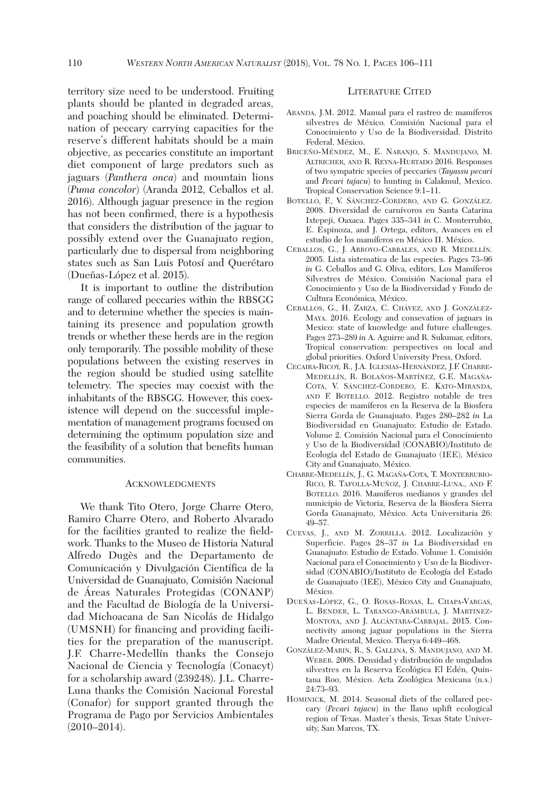territory size need to be understood. Fruiting plants should be planted in degraded areas, and poaching should be eliminated. Determination of peccary carrying capacities for the reserve's different habitats should be a main objective, as peccaries constitute an important diet component of large predators such as jaguars (*Panthera onca*) and mountain lions (*Puma concolor*) (Aranda 2012, Ceballos et al. 2016). Although jaguar presence in the region has not been confirmed, there is a hypothesis that considers the distribution of the jaguar to possibly extend over the Guanajuato region, particularly due to dispersal from neighboring states such as San Luis Potosí and Querétaro (Dueñas-López et al. 2015).

 It is important to outline the distribution range of collared peccaries within the RBSGG and to determine whether the species is maintaining its presence and population growth trends or whether these herds are in the region only temporarily. The possible mobility of these populations between the existing reserves in the region should be studied using satellite telemetry. The species may coexist with the inhabitants of the RBSGG. However, this coexistence will depend on the successful implementation of management programs focused on determining the optimum population size and the feasibility of a solution that benefits human communities.

## ACKNOWLEDGMENTS

 We thank Tito Otero, Jorge Charre Otero, Ramiro Charre Otero, and Roberto Alvarado for the facilities granted to realize the fieldwork. Thanks to the Museo de Historia Natural Alfredo Dugès and the Departamento de Comunicación y Divulgación Científica de la Universidad de Guanajuato, Comisión Nacional de Áreas Naturales Protegidas (CONANP) and the Facultad de Biología de la Universidad Michoacana de San Nicolás de Hidalgo (UMSNH) for financing and providing facilities for the preparation of the manuscript. J.F. Charre-Medellín thanks the Consejo Nacional de Ciencia y Tecnología (Conacyt) for a scholarship award (239248). J.L. Charre-Luna thanks the Comisión Nacional Forestal (Conafor) for support granted through the Programa de Pago por Servicios Ambientales (2010–2014).

## LITERATURE CITED

- ARANDA, J.M. 2012. Manual para el rastreo de mamíferos silvestres de México*.* Comisión Nacional para el Conocimiento y Uso de la Biodiversidad. Distrito Federal, México.
- BRICEÑO-MÉNDEZ, M., E. NARANJO, S. MANDUJANO, M. ALTRICHER, AND R. REYNA-HURTADO 2016. Responses of two sympatric species of peccaries (*Tayassu pecari* and *Pecari tajacu*) to hunting in Calakmul, Mexico. Tropical Conservation Science 9:1–11.
- BOTELLO, F., V. SÁNCHEZ-CORDERO, AND G. GONZÁLEZ. 2008. Diversidad de carnívoros en Santa Catarina Ixtepeji, Oaxaca. Pages 335–341 *in* C. Monterrubio, E. Espinoza, and J. Ortega, editors, Avances en el estudio de los mamíferos en México II. México.
- CEBALLOS, G., J. ARROYO-CABRALES, AND R. MEDELLÍN. 2005. Lista sistematica de las especies. Pages 73–96 *in* G. Ceballos and G. Oliva, editors, Los Mamíferos Silvestres de México. Comisión Nacional para el Conocimiento y Uso de la Biodiversidad y Fondo de Cultura Económica, México.
- CEBALLOS, G., H. ZARZA, C. CHÁVEZ, AND J. GONZÁLEZ-MAYA. 2016. Ecology and consevation of jaguars in Mexico: state of knowledge and future challenges. Pages 273–289 *in* A. Aguirre and R. Sukumar, editors, Tropical conservation: perspectives on local and global priorities. Oxford University Press, Oxford.
- CECAIRA-RICOY, R., J.A. IGLESIAS-HERNÁNDEZ, J.F. CHARRE-MEDELLÍN, R. BOLAÑOS-MARTÍNEZ, G.E. MAGAÑA-COTA, V. SÁNCHEZ-CORDERO, E. KATO-MIRANDA, AND F. BOTELLO. 2012. Registro notable de tres especies de mamíferos en la Reserva de la Biosfera Sierra Gorda de Guanajuato. Pages 280–282 *in* La Biodiversidad en Guanajuato: Estudio de Estado. Volume 2. Comisión Nacional para el Conocimiento y Uso de la Biodiversidad (CONABIO)/Instituto de Ecología del Estado de Guanajuato (IEE), México City and Guanajuato, México.
- CHARRE-MEDELLÍN, J., G. MAGAÑA-COTA, T. MONTERRUBIO-RICO, R. TAFOLLA-MUÑOZ, J. CHARRE-LUNA., AND F. BOTELLO. 2016. Mamíferos medianos y grandes del municipio de Victoria, Reserva de la Biosfera Sierra Gorda Guanajuato, México. Acta Universitaria 26: 49–57.
- CUEVAS, J., AND M. ZORRILLA. 2012. Localización y Superficie. Pages 28–37 *in* La Biodiversidad en Guanajuato: Estudio de Estado. Volume 1. Comisión Nacional para el Conocimiento y Uso de la Biodiversidad (CONABIO)/Instituto de Ecología del Estado de Guanajuato (IEE), México City and Guanajuato, México.
- DUEÑAS-LÓPEZ, G., O. ROSAS-ROSAS, L. CHAPA-VARGAS, L. BENDER, L. TARANGO-ARÁMBULA, J. MARTINEZ-MONTOYA, AND J. ALCÁNTARA-CARBAJAL. 2015. Connectivity among jaguar populations in the Sierra Madre Oriental, Mexico. Therya 6:449–468.
- GONZÁLEZ-MARIN, R., S. GALLINA, S. MANDUJANO, AND M. WEBER. 2008. Densidad y distribución de ungulados silvestres en la Reserva Ecológica El Edén, Quintana Roo, México. Acta Zoológica Mexicana (n.s.) 24:73–93.
- HOMINICK, M. 2014. Seasonal diets of the collared peccary (*Pecari tajacu*) in the llano uplift ecological region of Texas. Master's thesis, Texas State University, San Marcos, TX.